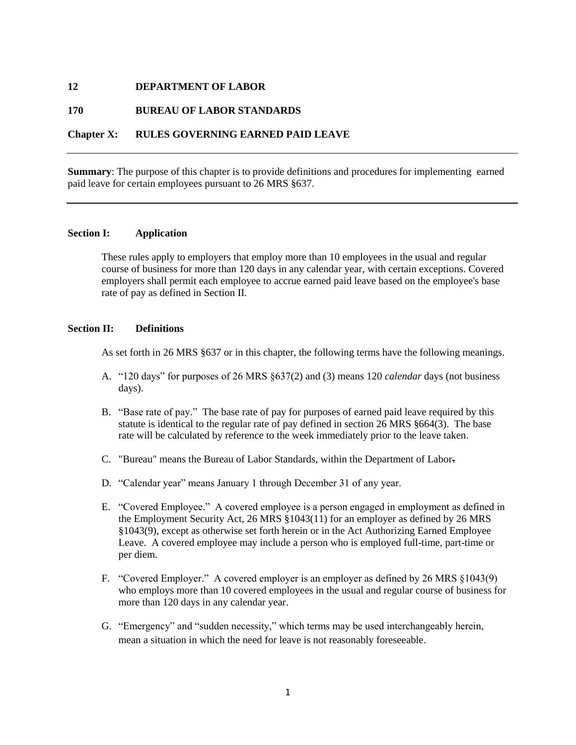#### **12 DEPARTMENT OF LABOR**

### **170 BUREAU OF LABOR STANDARDS**

### **Chapter X: RULES GOVERNING EARNED PAID LEAVE**

**Summary**: The purpose of this chapter is to provide definitions and procedures for implementing earned paid leave for certain employees pursuant to 26 MRS §637.

#### **Section I: Application**

These rules apply to employers that employ more than 10 employees in the usual and regular course of business for more than 120 days in any calendar year, with certain exceptions. Covered employers shall permit each employee to accrue earned paid leave based on the employee's base rate of pay as defined in Section II.

#### **Section II: Definitions**

As set forth in 26 MRS §637 or in this chapter, the following terms have the following meanings.

- A. "120 days" for purposes of 26 MRS §637(2) and (3) means 120 *calendar* days (not business days).
- B. "Base rate of pay." The base rate of pay for purposes of earned paid leave required by this statute is identical to the regular rate of pay defined in section 26 MRS §664(3). The base rate will be calculated by reference to the week immediately prior to the leave taken.
- C. "Bureau" means the Bureau of Labor Standards, within the Department of Labor.
- D. "Calendar year" means January 1 through December 31 of any year.
- E. "Covered Employee." A covered employee is a person engaged in employment as defined in the Employment Security Act, 26 MRS §1043(11) for an employer as defined by 26 MRS §1043(9), except as otherwise set forth herein or in the Act Authorizing Earned Employee Leave. A covered employee may include a person who is employed full-time, part-time or per diem.
- F. "Covered Employer." A covered employer is an employer as defined by 26 MRS §1043(9) who employs more than 10 covered employees in the usual and regular course of business for more than 120 days in any calendar year.
- G. "Emergency" and "sudden necessity," which terms may be used interchangeably herein, mean a situation in which the need for leave is not reasonably foreseeable.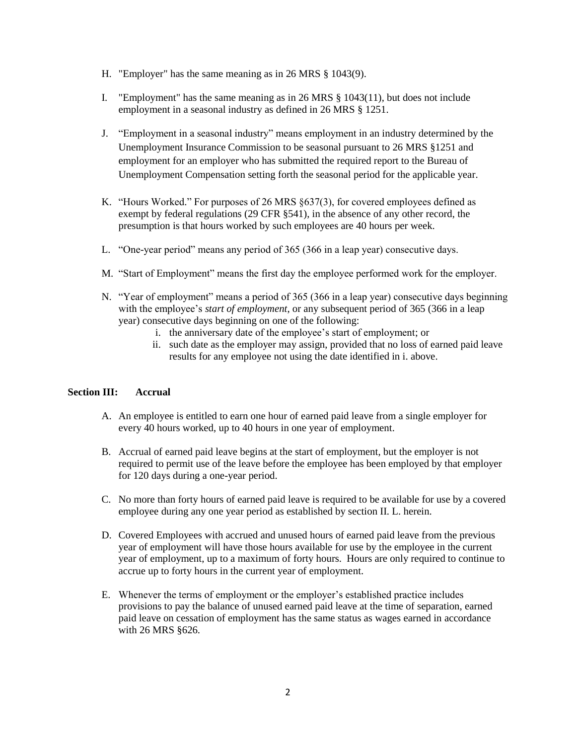- H. "Employer" has the same meaning as in 26 MRS § 1043(9).
- I. "Employment" has the same meaning as in 26 MRS § 1043(11), but does not include employment in a seasonal industry as defined in 26 MRS § 1251.
- J. "Employment in a seasonal industry" means employment in an industry determined by the Unemployment Insurance Commission to be seasonal pursuant to 26 MRS §1251 and employment for an employer who has submitted the required report to the Bureau of Unemployment Compensation setting forth the seasonal period for the applicable year.
- K. "Hours Worked." For purposes of 26 MRS §637(3), for covered employees defined as exempt by federal regulations (29 CFR §541), in the absence of any other record, the presumption is that hours worked by such employees are 40 hours per week.
- L. "One-year period" means any period of 365 (366 in a leap year) consecutive days.
- M. "Start of Employment" means the first day the employee performed work for the employer.
- N. "Year of employment" means a period of 365 (366 in a leap year) consecutive days beginning with the employee's *start of employment*, or any subsequent period of 365 (366 in a leap year) consecutive days beginning on one of the following:
	- i. the anniversary date of the employee's start of employment; or
	- ii. such date as the employer may assign, provided that no loss of earned paid leave results for any employee not using the date identified in i. above.

# **Section III: Accrual**

- A. An employee is entitled to earn one hour of earned paid leave from a single employer for every 40 hours worked, up to 40 hours in one year of employment.
- B. Accrual of earned paid leave begins at the start of employment, but the employer is not required to permit use of the leave before the employee has been employed by that employer for 120 days during a one-year period.
- C. No more than forty hours of earned paid leave is required to be available for use by a covered employee during any one year period as established by section II. L. herein.
- D. Covered Employees with accrued and unused hours of earned paid leave from the previous year of employment will have those hours available for use by the employee in the current year of employment, up to a maximum of forty hours. Hours are only required to continue to accrue up to forty hours in the current year of employment.
- E. Whenever the terms of employment or the employer's established practice includes provisions to pay the balance of unused earned paid leave at the time of separation, earned paid leave on cessation of employment has the same status as wages earned in accordance with 26 MRS §626.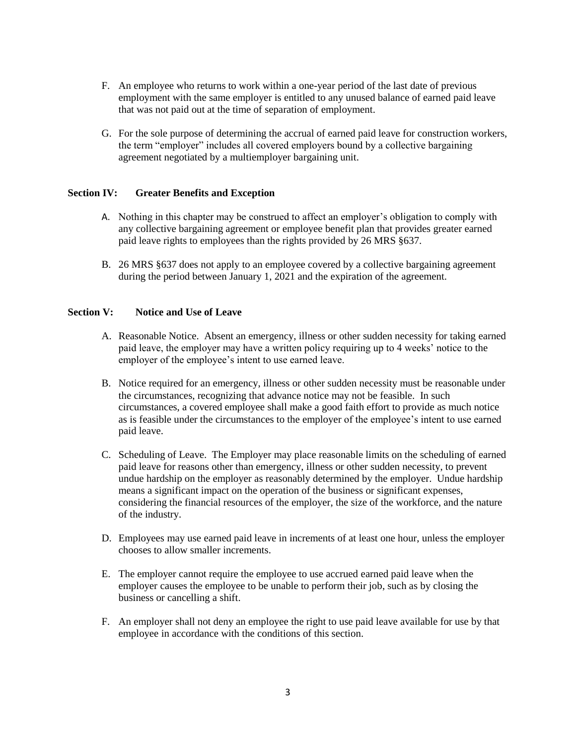- F. An employee who returns to work within a one-year period of the last date of previous employment with the same employer is entitled to any unused balance of earned paid leave that was not paid out at the time of separation of employment.
- G. For the sole purpose of determining the accrual of earned paid leave for construction workers, the term "employer" includes all covered employers bound by a collective bargaining agreement negotiated by a multiemployer bargaining unit.

## **Section IV: Greater Benefits and Exception**

- A. Nothing in this chapter may be construed to affect an employer's obligation to comply with any collective bargaining agreement or employee benefit plan that provides greater earned paid leave rights to employees than the rights provided by 26 MRS §637.
- B. 26 MRS §637 does not apply to an employee covered by a collective bargaining agreement during the period between January 1, 2021 and the expiration of the agreement.

#### **Section V: Notice and Use of Leave**

- A. Reasonable Notice. Absent an emergency, illness or other sudden necessity for taking earned paid leave, the employer may have a written policy requiring up to 4 weeks' notice to the employer of the employee's intent to use earned leave.
- B. Notice required for an emergency, illness or other sudden necessity must be reasonable under the circumstances, recognizing that advance notice may not be feasible. In such circumstances, a covered employee shall make a good faith effort to provide as much notice as is feasible under the circumstances to the employer of the employee's intent to use earned paid leave.
- C. Scheduling of Leave. The Employer may place reasonable limits on the scheduling of earned paid leave for reasons other than emergency, illness or other sudden necessity, to prevent undue hardship on the employer as reasonably determined by the employer. Undue hardship means a significant impact on the operation of the business or significant expenses, considering the financial resources of the employer, the size of the workforce, and the nature of the industry.
- D. Employees may use earned paid leave in increments of at least one hour, unless the employer chooses to allow smaller increments.
- E. The employer cannot require the employee to use accrued earned paid leave when the employer causes the employee to be unable to perform their job, such as by closing the business or cancelling a shift.
- F. An employer shall not deny an employee the right to use paid leave available for use by that employee in accordance with the conditions of this section.